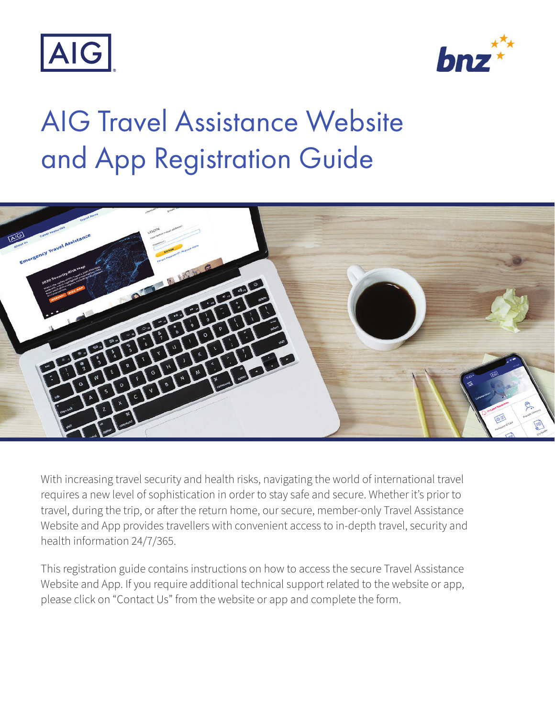



# AIG Travel Assistance Website and App Registration Guide



With increasing travel security and health risks, navigating the world of international travel requires a new level of sophistication in order to stay safe and secure. Whether it's prior to travel, during the trip, or after the return home, our secure, member-only Travel Assistance Website and App provides travellers with convenient access to in-depth travel, security and health information 24/7/365.

This registration guide contains instructions on how to access the secure Travel Assistance Website and App. If you require additional technical support related to the website or app, please click on "Contact Us" from the website or app and complete the form.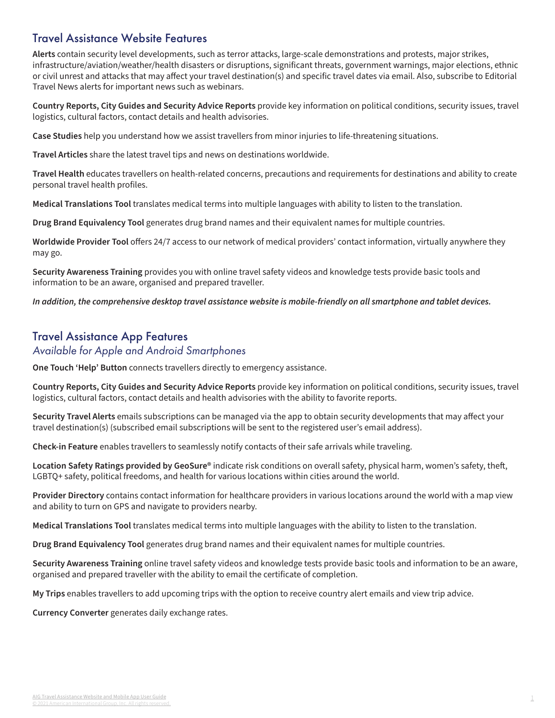#### Travel Assistance Website Features

**Alerts** contain security level developments, such as terror attacks, large-scale demonstrations and protests, major strikes, infrastructure/aviation/weather/health disasters or disruptions, significant threats, government warnings, major elections, ethnic or civil unrest and attacks that may affect your travel destination(s) and specific travel dates via email. Also, subscribe to Editorial Travel News alerts for important news such as webinars.

**Country Reports, City Guides and Security Advice Reports** provide key information on political conditions, security issues, travel logistics, cultural factors, contact details and health advisories.

**Case Studies** help you understand how we assist travellers from minor injuries to life-threatening situations.

**Travel Articles** share the latest travel tips and news on destinations worldwide.

**Travel Health** educates travellers on health-related concerns, precautions and requirements for destinations and ability to create personal travel health profiles.

**Medical Translations Tool** translates medical terms into multiple languages with ability to listen to the translation.

**Drug Brand Equivalency Tool** generates drug brand names and their equivalent names for multiple countries.

**Worldwide Provider Tool** offers 24/7 access to our network of medical providers' contact information, virtually anywhere they may go.

**Security Awareness Training** provides you with online travel safety videos and knowledge tests provide basic tools and information to be an aware, organised and prepared traveller.

**In addition, the comprehensive desktop travel assistance website is mobile-friendly on all smartphone and tablet devices.**

#### Travel Assistance App Features

#### Available for Apple and Android Smartphones

**One Touch 'Help' Button** connects travellers directly to emergency assistance.

**Country Reports, City Guides and Security Advice Reports** provide key information on political conditions, security issues, travel logistics, cultural factors, contact details and health advisories with the ability to favorite reports.

**Security Travel Alerts** emails subscriptions can be managed via the app to obtain security developments that may affect your travel destination(s) (subscribed email subscriptions will be sent to the registered user's email address).

**Check-in Feature** enables travellers to seamlessly notify contacts of their safe arrivals while traveling.

**Location Safety Ratings provided by GeoSure®** indicate risk conditions on overall safety, physical harm, women's safety, theft, LGBTQ+ safety, political freedoms, and health for various locations within cities around the world.

**Provider Directory** contains contact information for healthcare providers in various locations around the world with a map view and ability to turn on GPS and navigate to providers nearby.

**Medical Translations Tool** translates medical terms into multiple languages with the ability to listen to the translation.

**Drug Brand Equivalency Tool** generates drug brand names and their equivalent names for multiple countries.

**Security Awareness Training** online travel safety videos and knowledge tests provide basic tools and information to be an aware, organised and prepared traveller with the ability to email the certificate of completion.

**My Trips** enables travellers to add upcoming trips with the option to receive country alert emails and view trip advice.

**Currency Converter** generates daily exchange rates.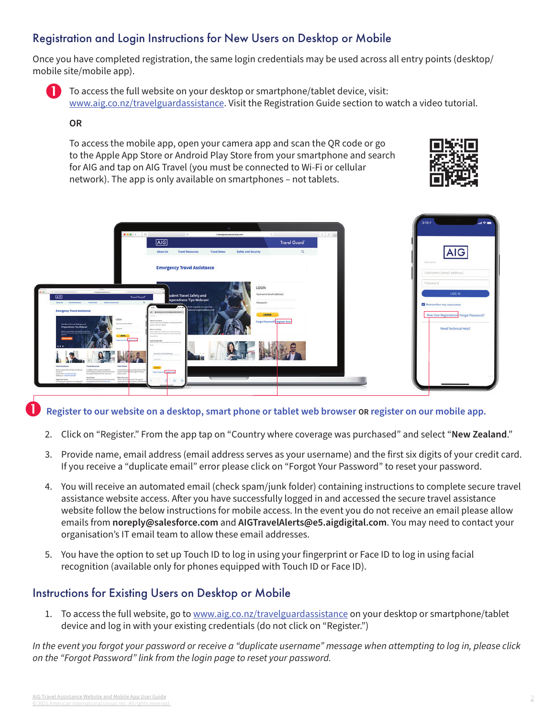### Registration and Login Instructions for New Users on Desktop or Mobile

Once you have completed registration, the same login credentials may be used across all entry points (desktop/ mobile site/mobile app).



To access the full website on your desktop or smartphone/tablet device, visit: www.aig.co.nz/travelguardassistance. Visit the Registration Guide section to watch a video tutorial.

#### **OR**

To access the mobile app, open your camera app and scan the QR code or go to the Apple App Store or Android Play Store from your smartphone and search for AIG and tap on AIG Travel (you must be connected to Wi-Fi or cellular network). The app is only available on smartphones – not tablets.





#### n **Register to our website on a desktop, smart phone or tablet web browser OR register on our mobile app.**

- 2. Click on "Register." From the app tap on "Country where coverage was purchased" and select "**New Zealand**."
- 3. Provide name, email address (email address serves as your username) and the first six digits of your credit card. If you receive a "duplicate email" error please click on "Forgot Your Password" to reset your password.
- 4. You will receive an automated email (check spam/junk folder) containing instructions to complete secure travel assistance website access. After you have successfully logged in and accessed the secure travel assistance website follow the below instructions for mobile access. In the event you do not receive an email please allow emails from **noreply@salesforce.com** and **AIGTravelAlerts@e5.aigdigital.com**. You may need to contact your organisation's IT email team to allow these email addresses.
- 5. You have the option to set up Touch ID to log in using your fingerprint or Face ID to log in using facial recognition (available only for phones equipped with Touch ID or Face ID).

## Instructions for Existing Users on Desktop or Mobile

1. To access the full website, go to www.aig.co.nz/travelguardassistance on your desktop or smartphone/tablet device and log in with your existing credentials (do not click on "Register.")

In the event you forgot your password or receive a "duplicate username" message when attempting to log in, please click on the "Forgot Password" link from the login page to reset your password.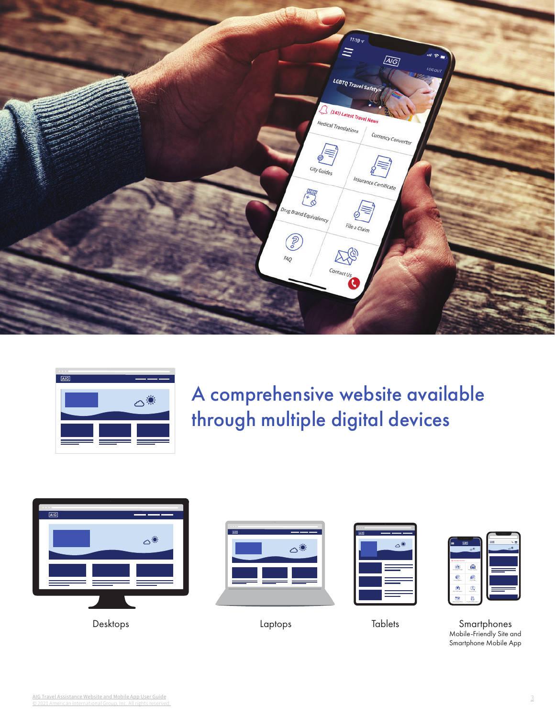



A comprehensive website available through multiple digital devices









Desktops Laptops Tablets Smartphones Mobile-Friendly Site and Smartphone Mobile App